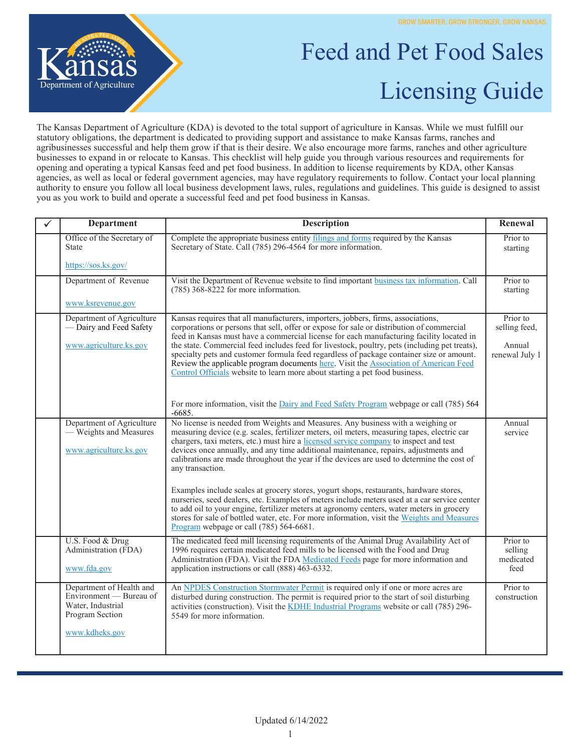

## Feed and Pet Food Sales Licensing Guide

The Kansas Department of Agriculture (KDA) is devoted to the total support of agriculture in Kansas. While we must fulfill our statutory obligations, the department is dedicated to providing support and assistance to make Kansas farms, ranches and agribusinesses successful and help them grow if that is their desire. We also encourage more farms, ranches and other agriculture businesses to expand in or relocate to Kansas. This checklist will help guide you through various resources and requirements for opening and operating a typical Kansas feed and pet food business. In addition to license requirements by KDA, other Kansas agencies, as well as local or federal government agencies, may have regulatory requirements to follow. Contact your local planning authority to ensure you follow all local business development laws, rules, regulations and guidelines. This guide is designed to assist you as you work to build and operate a successful feed and pet food business in Kansas.

| <b>Department</b>                                                                                             | <b>Description</b>                                                                                                                                                                                                                                                                                                                                                                                                                                                                                                                                                                                                                            | Renewal                                               |
|---------------------------------------------------------------------------------------------------------------|-----------------------------------------------------------------------------------------------------------------------------------------------------------------------------------------------------------------------------------------------------------------------------------------------------------------------------------------------------------------------------------------------------------------------------------------------------------------------------------------------------------------------------------------------------------------------------------------------------------------------------------------------|-------------------------------------------------------|
| Office of the Secretary of<br><b>State</b>                                                                    | Complete the appropriate business entity filings and forms required by the Kansas<br>Secretary of State. Call (785) 296-4564 for more information.                                                                                                                                                                                                                                                                                                                                                                                                                                                                                            | Prior to<br>starting                                  |
| https://sos.ks.gov/                                                                                           |                                                                                                                                                                                                                                                                                                                                                                                                                                                                                                                                                                                                                                               |                                                       |
| Department of Revenue                                                                                         | Visit the Department of Revenue website to find important business tax information. Call<br>$(785)$ 368-8222 for more information.                                                                                                                                                                                                                                                                                                                                                                                                                                                                                                            | Prior to<br>starting                                  |
| www.ksrevenue.gov                                                                                             |                                                                                                                                                                                                                                                                                                                                                                                                                                                                                                                                                                                                                                               |                                                       |
| Department of Agriculture<br>- Dairy and Feed Safety<br>www.agriculture.ks.gov                                | Kansas requires that all manufacturers, importers, jobbers, firms, associations,<br>corporations or persons that sell, offer or expose for sale or distribution of commercial<br>feed in Kansas must have a commercial license for each manufacturing facility located in<br>the state. Commercial feed includes feed for livestock, poultry, pets (including pet treats),<br>specialty pets and customer formula feed regardless of package container size or amount.<br>Review the applicable program documents here. Visit the Association of American Feed<br>Control Officials website to learn more about starting a pet food business. | Prior to<br>selling feed,<br>Annual<br>renewal July 1 |
|                                                                                                               | For more information, visit the Dairy and Feed Safety Program webpage or call (785) 564<br>$-6685.$                                                                                                                                                                                                                                                                                                                                                                                                                                                                                                                                           |                                                       |
| Department of Agriculture<br>— Weights and Measures<br>www.agriculture.ks.gov                                 | No license is needed from Weights and Measures. Any business with a weighing or<br>measuring device (e.g. scales, fertilizer meters, oil meters, measuring tapes, electric car<br>chargers, taxi meters, etc.) must hire a licensed service company to inspect and test<br>devices once annually, and any time additional maintenance, repairs, adjustments and<br>calibrations are made throughout the year if the devices are used to determine the cost of<br>any transaction.                                                                                                                                                             | Annual<br>service                                     |
|                                                                                                               | Examples include scales at grocery stores, yogurt shops, restaurants, hardware stores,<br>nurseries, seed dealers, etc. Examples of meters include meters used at a car service center<br>to add oil to your engine, fertilizer meters at agronomy centers, water meters in grocery<br>stores for sale of bottled water, etc. For more information, visit the Weights and Measures<br>Program webpage or call (785) 564-6681.                                                                                                                                                                                                                 |                                                       |
| U.S. Food & Drug<br>Administration (FDA)<br>www.fda.gov                                                       | The medicated feed mill licensing requirements of the Animal Drug Availability Act of<br>1996 requires certain medicated feed mills to be licensed with the Food and Drug<br>Administration (FDA). Visit the FDA Medicated Feeds page for more information and<br>application instructions or call (888) 463-6332.                                                                                                                                                                                                                                                                                                                            | Prior to<br>selling<br>medicated<br>feed              |
| Department of Health and<br>Environment - Bureau of<br>Water, Industrial<br>Program Section<br>www.kdheks.gov | An NPDES Construction Stormwater Permit is required only if one or more acres are<br>disturbed during construction. The permit is required prior to the start of soil disturbing<br>activities (construction). Visit the KDHE Industrial Programs website or call (785) 296-<br>5549 for more information.                                                                                                                                                                                                                                                                                                                                    | Prior to<br>construction                              |